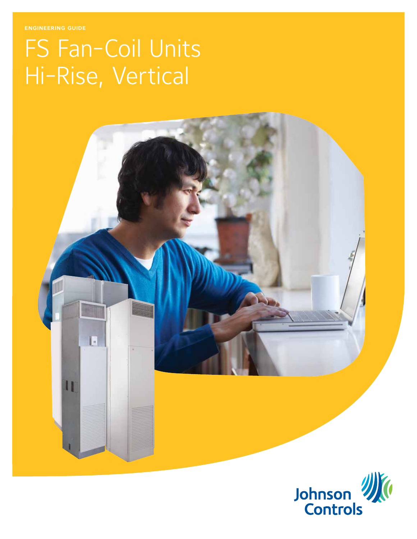engineering guide

# FS Fan-Coil Units Hi-Rise, Vertical

E

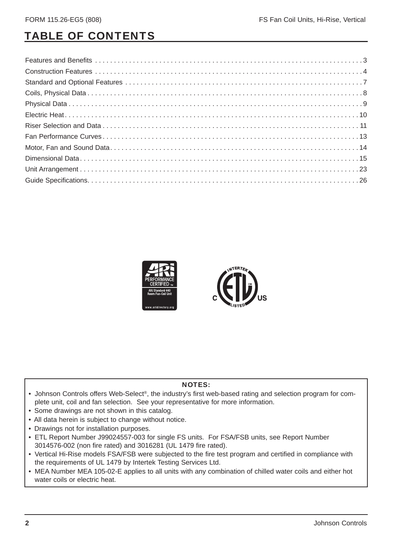## TABLE OF CONTENTS



- Johnson Controls offers Web-Select®, the industry's first web-based rating and selection program for complete unit, coil and fan selection. See your representative for more information.
- Some drawings are not shown in this catalog.
- All data herein is subject to change without notice.
- Drawings not for installation purposes.
- ETL Report Number J99024557-003 for single FS units. For FSA/FSB units, see Report Number 3014576-002 (non fire rated) and 3016281 (UL 1479 fire rated).
- Vertical Hi-Rise models FSA/FSB were subjected to the fire test program and certified in compliance with the requirements of UL 1479 by Intertek Testing Services Ltd.
- MEA Number MEA 105-02-E applies to all units with any combination of chilled water coils and either hot water coils or electric heat.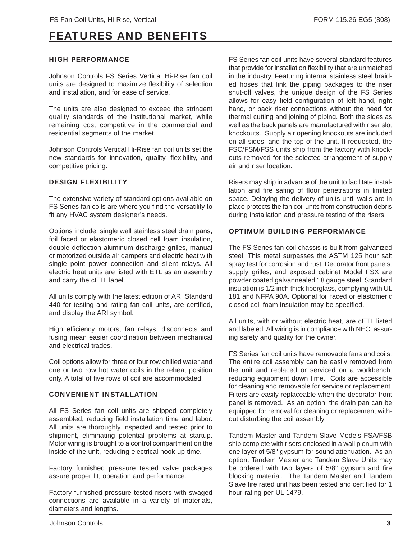### FEATURES AND BENEFITS

#### HIGH PERFORMANCE

Johnson Controls FS Series Vertical Hi-Rise fan coil units are designed to maximize flexibility of selection and installation, and for ease of service.

The units are also designed to exceed the stringent quality standards of the institutional market, while remaining cost competitive in the commercial and residential segments of the market.

Johnson Controls Vertical Hi-Rise fan coil units set the new standards for innovation, quality, flexibility, and competitive pricing.

#### DESIGN FLEXIBILITY

The extensive variety of standard options available on FS Series fan coils are where you find the versatility to fit any HVAC system designer's needs.

Options include: single wall stainless steel drain pans, foil faced or elastomeric closed cell foam insulation, double deflection aluminum discharge grilles, manual or motorized outside air dampers and electric heat with single point power connection and silent relays. All electric heat units are listed with ETL as an assembly and carry the cETL label.

All units comply with the latest edition of ARI Standard 440 for testing and rating fan coil units, are certified, and display the ARI symbol.

High efficiency motors, fan relays, disconnects and fusing mean easier coordination between mechanical and electrical trades.

Coil options allow for three or four row chilled water and one or two row hot water coils in the reheat position only. A total of five rows of coil are accommodated.

#### CONVENIENT INSTALLATION

All FS Series fan coil units are shipped completely assembled, reducing field installation time and labor. All units are thoroughly inspected and tested prior to shipment, eliminating potential problems at startup. Motor wiring is brought to a control compartment on the inside of the unit, reducing electrical hook-up time.

Factory furnished pressure tested valve packages assure proper fit, operation and performance.

Factory furnished pressure tested risers with swaged connections are available in a variety of materials, diameters and lengths.

FS Series fan coil units have several standard features that provide for installation flexibility that are unmatched in the industry. Featuring internal stainless steel braided hoses that link the piping packages to the riser shut-off valves, the unique design of the FS Series allows for easy field configuration of left hand, right hand, or back riser connections without the need for thermal cutting and joining of piping. Both the sides as well as the back panels are manufactured with riser slot knockouts. Supply air opening knockouts are included on all sides, and the top of the unit. If requested, the FSC/FSM/FSS units ship from the factory with knockouts removed for the selected arrangement of supply air and riser location.

Risers may ship in advance of the unit to facilitate installation and fire safing of floor penetrations in limited space. Delaying the delivery of units until walls are in place protects the fan coil units from construction debris during installation and pressure testing of the risers.

#### OPTIMUM BUILDING PERFORMANCE

The FS Series fan coil chassis is built from galvanized steel. This metal surpasses the ASTM 125 hour salt spray test for corrosion and rust. Decorator front panels, supply grilles, and exposed cabinet Model FSX are powder coated galvannealed 18 gauge steel. Standard insulation is 1/2 inch thick fiberglass, complying with UL 181 and NFPA 90A. Optional foil faced or elastomeric closed cell foam insulation may be specified.

All units, with or without electric heat, are cETL listed and labeled. All wiring is in compliance with NEC, assuring safety and quality for the owner.

FS Series fan coil units have removable fans and coils. The entire coil assembly can be easily removed from the unit and replaced or serviced on a workbench, reducing equipment down time. Coils are accessible for cleaning and removable for service or replacement. Filters are easily replaceable when the decorator front panel is removed. As an option, the drain pan can be equipped for removal for cleaning or replacement without disturbing the coil assembly.

Tandem Master and Tandem Slave Models FSA/FSB ship complete with risers enclosed in a wall plenum with one layer of 5/8" gypsum for sound attenuation. As an option, Tandem Master and Tandem Slave Units may be ordered with two layers of 5/8" gypsum and fire blocking material. The Tandem Master and Tandem Slave fire rated unit has been tested and certified for 1 hour rating per UL 1479.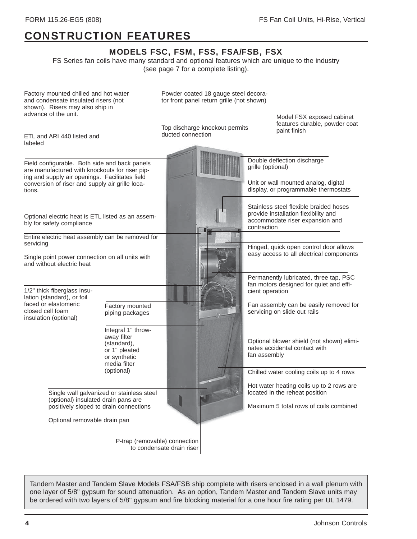## CONSTRUCTION FEATURES

#### MODELS FSC, FSM, FSS, FSA/FSB, FSX

FS Series fan coils have many standard and optional features which are unique to the industry (see page 7 for a complete listing).

Single wall galvanized or stainless steel (optional) insulated drain pans are positively sloped to drain connections Optional removable drain pan Chilled water cooling coils up to 4 rows Hot water heating coils up to 2 rows are located in the reheat position Maximum 5 total rows of coils combined Optional electric heat is ETL listed as an assembly for safety compliance Entire electric heat assembly can be removed for servicing Single point power connection on all units with and without electric heat Powder coated 18 gauge steel decorator front panel return grille (not shown) Top discharge knockout permits ducted connection 1/2" thick fiberglass insulation (standard), or foil faced or elastomeric closed cell foam insulation (optional) Integral 1" throwaway filter (standard), or 1" pleated or synthetic media filter (optional) Permanently lubricated, three tap, PSC fan motors designed for quiet and efficient operation Fan assembly can be easily removed for servicing on slide out rails Double deflection discharge grille (optional) Factory mounted chilled and hot water and condensate insulated risers (not shown). Risers may also ship in advance of the unit. Model FSX exposed cabinet features durable, powder coat paint finish Unit or wall mounted analog, digital display, or programmable thermostats P-trap (removable) connection to condensate drain riser Field configurable. Both side and back panels are manufactured with knockouts for riser piping and supply air openings. Facilitates field conversion of riser and supply air grille locations. Factory mounted piping packages Hinged, quick open control door allows easy access to all electrical components Stainless steel flexible braided hoses provide installation flexibility and accommodate riser expansion and contraction Optional blower shield (not shown) eliminates accidental contact with fan assembly ETL and ARI 440 listed and labeled

Tandem Master and Tandem Slave Models FSA/FSB ship complete with risers enclosed in a wall plenum with one layer of 5/8" gypsum for sound attenuation. As an option, Tandem Master and Tandem Slave units may be ordered with two layers of 5/8" gypsum and fire blocking material for a one hour fire rating per UL 1479.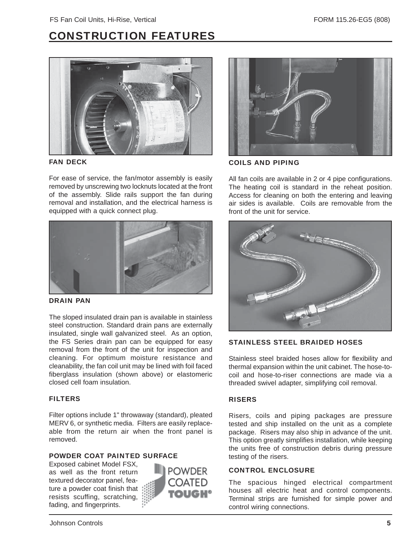### CONSTRUCTION FEATURES



#### FAN DECK

For ease of service, the fan/motor assembly is easily removed by unscrewing two locknuts located at the front of the assembly. Slide rails support the fan during removal and installation, and the electrical harness is equipped with a quick connect plug.



#### DRAIN PAN

The sloped insulated drain pan is available in stainless steel construction. Standard drain pans are externally insulated, single wall galvanized steel. As an option, the FS Series drain pan can be equipped for easy removal from the front of the unit for inspection and cleaning. For optimum moisture resistance and cleanability, the fan coil unit may be lined with foil faced fiberglass insulation (shown above) or elastomeric closed cell foam insulation.

#### FILTERS

Filter options include 1" throwaway (standard), pleated MERV 6, or synthetic media. Filters are easily replaceable from the return air when the front panel is removed.

#### POWDER COAT PAINTED SURFACE

Exposed cabinet Model FSX, as well as the front return textured decorator panel, feature a powder coat finish that resists scuffing, scratching, fading, and fingerprints.





COILS AND PIPING

All fan coils are available in 2 or 4 pipe configurations. The heating coil is standard in the reheat position. Access for cleaning on both the entering and leaving air sides is available. Coils are removable from the front of the unit for service.



#### STAINLESS STEEL BRAIDED HOSES

Stainless steel braided hoses allow for flexibility and thermal expansion within the unit cabinet. The hose-tocoil and hose-to-riser connections are made via a threaded swivel adapter, simplifying coil removal.

#### **RISERS**

Risers, coils and piping packages are pressure tested and ship installed on the unit as a complete package. Risers may also ship in advance of the unit. This option greatly simplifies installation, while keeping the units free of construction debris during pressure testing of the risers.

#### CONTROL ENCLOSURE

The spacious hinged electrical compartment houses all electric heat and control components. Terminal strips are furnished for simple power and control wiring connections.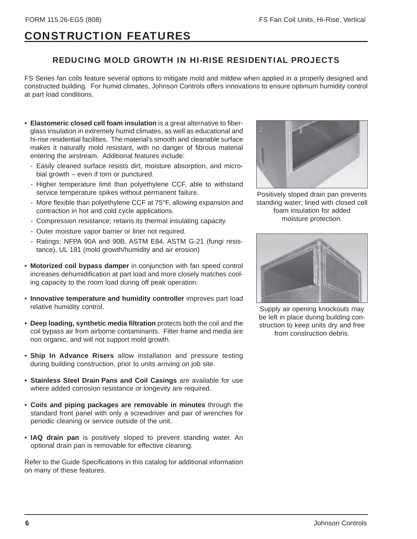### CONSTRUCTION FEATURES

#### REDUCING MOLD GROWTH IN HI-RISE RESIDENTIAL PROJECTS

FS Series fan coils feature several options to mitigate mold and mildew when applied in a properly designed and constructed building. For humid climates, Johnson Controls offers innovations to ensure optimum humidity control at part load conditions.

- **Elastomeric closed cell foam insulation** is a great alternative to fiberglass insulation in extremely humid climates, as well as educational and hi-rise residential facilities. The material's smooth and cleanable surface makes it naturally mold resistant, with no danger of fibrous material entering the airstream. Additional features include:
	- Easily cleaned surface resists dirt, moisture absorption, and microbial growth – even if torn or punctured.
	- Higher temperature limit than polyethylene CCF, able to withstand service temperature spikes without permanent failure.
	- More flexible than polyethylene CCF at 75°F, allowing expansion and contraction in hot and cold cycle applications.
	- Compression resistance; retains its thermal insulating capacity.
	- Outer moisture vapor barrier or liner not required.
	- Ratings: NFPA 90A and 90B, ASTM E84, ASTM G-21 (fungi resistance), UL 181 (mold growth/humidity and air erosion)
- **Motorized coil bypass damper** in conjunction with fan speed control increases dehumidification at part load and more closely matches cooling capacity to the room load during off peak operation.
- **Innovative temperature and humidity controller** improves part load relative humidity control.
- **Deep loading, synthetic media filtration** protects both the coil and the coil bypass air from airborne contaminants. Filter frame and media are non organic, and will not support mold growth.
- **Ship In Advance Risers** allow installation and pressure testing during building construction, prior to units arriving on job site.
- **Stainless Steel Drain Pans and Coil Casings** are available for use where added corrosion resistance or longevity are required.
- **Coils and piping packages are removable in minutes** through the standard front panel with only a screwdriver and pair of wrenches for periodic cleaning or service outside of the unit.
- **IAQ drain pan** is positively sloped to prevent standing water. An optional drain pan is removable for effective cleaning.

Refer to the Guide Specifications in this catalog for additional information on many of these features.



Positively sloped drain pan prevents standing water; lined with closed cell foam insulation for added moisture protection.



Supply air opening knockouts may be left in place during building construction to keep units dry and free from construction debris.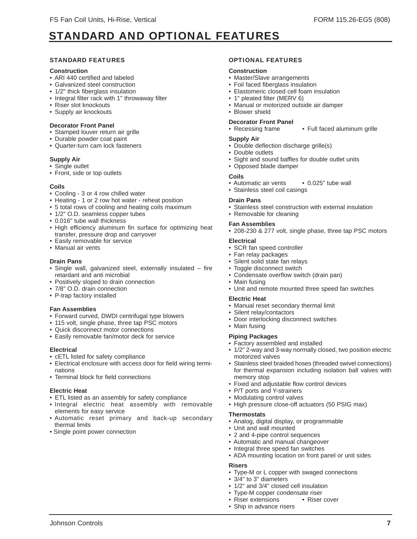### STANDARD AND OPTIONAL FEATURES

#### STANDARD FEATURES

#### **Construction**

- ARI 440 certified and labeled
- Galvanized steel construction
- 1/2" thick fiberglass insulation
- Integral filter rack with 1" throwaway filter
- Riser slot knockouts
- Supply air knockouts

#### **Decorator Front Panel**

- Stamped louver return air grille
- Durable powder coat paint
- Quarter-turn cam lock fasteners

#### **Supply Air**

- Single outlet
- Front, side or top outlets

#### **Coils**

- Cooling 3 or 4 row chilled water
- Heating 1 or 2 row hot water reheat position
- 5 total rows of cooling and heating coils maximum
- 1/2" O.D. seamless copper tubes
- 0.016" tube wall thickness
- High efficiency aluminum fin surface for optimizing heat transfer, pressure drop and carryover
- Easily removable for service
- Manual air vents

#### **Drain Pans**

- Single wall, galvanized steel, externally insulated fire retardant and anti microbial
- Positively sloped to drain connection
- 7/8" O.D. drain connection
- P-trap factory installed

#### **Fan Assemblies**

- Forward curved, DWDI centrifugal type blowers
- 115 volt, single phase, three tap PSC motors
- Quick disconnect motor connections
- Easily removable fan/motor deck for service

#### **Electrical**

- cETL listed for safety compliance
- Electrical enclosure with access door for field wiring terminations
- Terminal block for field connections

#### **Electric Heat**

- ETL listed as an assembly for safety compliance
- Integral electric heat assembly with removable elements for easy service
- Automatic reset primary and back-up secondary thermal limits
- Single point power connection

#### OPTIONAL FEATURES

#### **Construction**

- Master/Slave arrangements
- Foil faced fiberglass insulation
- Elastomeric closed cell foam insulation
- 1" pleated filter (MERV 6)
- Manual or motorized outside air damper

### • Blower shield

#### **Decorator Front Panel**

• Recessing frame • Full faced aluminum grille

#### **Supply Air**

- Double deflection discharge grille(s)
- Double outlets
- Sight and sound baffles for double outlet units
- Opposed blade damper

#### **Coils**

- Automatic air vents 0.025" tube wall
- Stainless steel coil casings

#### **Drain Pans**

- Stainless steel construction with external insulation
- Removable for cleaning

#### **Fan Assemblies**

• 208-230 & 277 volt, single phase, three tap PSC motors

#### **Electrical**

- SCR fan speed controller
- Fan relay packages
- Silent solid state fan relays
- Toggle disconnect switch
- Condensate overflow switch (drain pan)
- Main fusing
- Unit and remote mounted three speed fan switches

#### **Electric Heat**

- Manual reset secondary thermal limit
- Silent relay/contactors
- Door interlocking disconnect switches
- Main fusing

#### **Piping Packages**

- Factory assembled and installed
- 1/2" 2-way and 3-way normally closed, two position electric motorized valves
- Stainless steel braided hoses (threaded swivel connections) for thermal expansion including isolation ball valves with memory stop
- Fixed and adjustable flow control devices
- P/T ports and Y-strainers
- Modulating control valves
- High pressure close-off actuators (50 PSIG max)

#### **Thermostats**

- Analog, digital display, or programmable
- Unit and wall mounted
- 2 and 4-pipe control sequences
- Automatic and manual changeover

• 1/2" and 3/4" closed cell insulation • Type-M copper condensate riser<br>• Riser extensions • Riser cover

- Integral three speed fan switches
- ADA mounting location on front panel or unit sides

#### **Risers**

Johnson Controls 7

- Type-M or L copper with swaged connections
- 3/4" to 3" diameters

• Riser extensions • Ship in advance risers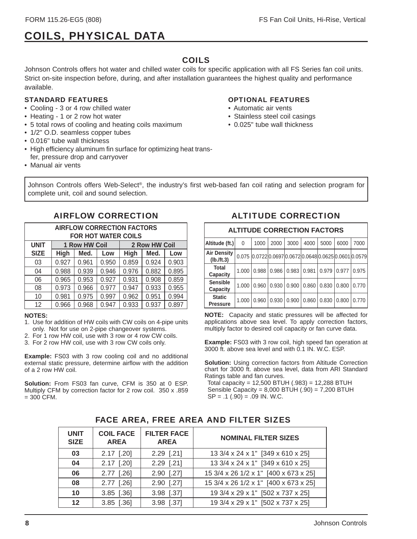## COILS, PHYSICAL DATA

#### COILS

Johnson Controls offers hot water and chilled water coils for specific application with all FS Series fan coil units. Strict on-site inspection before, during, and after installation guarantees the highest quality and performance available.

#### STANDARD FEATURES

- Cooling 3 or 4 row chilled water
- Heating 1 or 2 row hot water
- 5 total rows of cooling and heating coils maximum
- 1/2" O.D. seamless copper tubes
- 0.016" tube wall thickness
- High efficiency aluminum fin surface for optimizing heat transfer, pressure drop and carryover
- Manual air vents

#### OPTIONAL FEATURES

- Automatic air vents
- Stainless steel coil casings
- 0.025" tube wall thickness

Johnson Controls offers Web-Select®, the industry's first web-based fan coil rating and selection program for complete unit, coil and sound selection.

| <b>AIRFLOW CORRECTION FACTORS</b><br><b>FOR HOT WATER COILS</b> |                                                   |       |       |       |       |       |  |  |  |  |  |
|-----------------------------------------------------------------|---------------------------------------------------|-------|-------|-------|-------|-------|--|--|--|--|--|
| <b>UNIT</b>                                                     | 2 Row HW Coil<br>1 Row HW Coil                    |       |       |       |       |       |  |  |  |  |  |
| <b>SIZE</b>                                                     | High<br><b>High</b><br>Med.<br>Med.<br>Low<br>Low |       |       |       |       |       |  |  |  |  |  |
| 03                                                              | 0.927                                             | 0.961 | 0.950 | 0.859 | 0.924 | 0.903 |  |  |  |  |  |
| 04                                                              | 0.988                                             | 0.939 | 0.946 | 0.976 | 0.882 | 0.895 |  |  |  |  |  |
| 06                                                              | 0.965                                             | 0.953 | 0.927 | 0.931 | 0.908 | 0.859 |  |  |  |  |  |
| 08                                                              | 0.973                                             | 0.966 | 0.977 | 0.947 | 0.933 | 0.955 |  |  |  |  |  |
| 10                                                              | 0.981                                             | 0.975 | 0.997 | 0.962 | 0.951 | 0.994 |  |  |  |  |  |
| 12                                                              | 0.966                                             | 0.968 | 0.947 | 0.933 | 0.937 | 0.897 |  |  |  |  |  |

#### **NOTES:**

- 1. Use for addition of HW coils with CW coils on 4-pipe units only. Not for use on 2-pipe changeover systems.
- 2. For 1 row HW coil, use with 3 row or 4 row CW coils.
- 3. For 2 row HW coil, use with 3 row CW coils only.

**Example:** FS03 with 3 row cooling coil and no additional external static pressure, determine airflow with the addition of a 2 row HW coil.

**Solution:** From FS03 fan curve, CFM is 350 at 0 ESP. Multiply CFM by correction factor for 2 row coil. 350 x .859  $= 300$  CFM.

#### AIRFLOW CORRECTION ALTITUDE CORRECTION

| <b>ALTITUDE CORRECTION FACTORS</b> |          |       |       |       |       |       |       |                                                        |  |  |  |
|------------------------------------|----------|-------|-------|-------|-------|-------|-------|--------------------------------------------------------|--|--|--|
| Altitude (ft.)                     | $\Omega$ | 1000  | 2000  | 3000  | 4000  | 5000  | 6000  | 7000                                                   |  |  |  |
| <b>Air Density</b><br>(lb./ft.3)   |          |       |       |       |       |       |       | 0.075 0.0722 0.0697 0.0672 0.0648 0.0625 0.0601 0.0579 |  |  |  |
| Total<br>Capacity                  | 1.000    | 0.988 | 0.986 | 0.983 | 0.981 | 0.979 | 0.977 | 0.975                                                  |  |  |  |
| <b>Sensible</b><br>Capacity        | 1.000    | 0.960 | 0.930 | 0.900 | 0.860 | 0.830 | 0.800 | 0.770                                                  |  |  |  |
| <b>Static</b><br><b>Pressure</b>   | 1.000    | 0.960 | 0.930 | 0.900 | 0.860 | 0.830 | 0.800 | 0.770                                                  |  |  |  |

**NOTE:** Capacity and static pressures will be affected for applications above sea level. To apply correction factors, multiply factor to desired coil capacity or fan curve data.

**Example:** FS03 with 3 row coil, high speed fan operation at 3000 ft. above sea level and with 0.1 IN. W.C. ESP.

**Solution:** Using correction factors from Altitude Correction chart for 3000 ft. above sea level, data from ARI Standard Ratings table and fan curves.

 Total capacity = 12,500 BTUH (.983) = 12,288 BTUH Sensible Capacity =  $8,000$  BTUH  $(.90)$  =  $7,200$  BTUH  $SP = .1 (.90) = .09$  IN. W.C.

| <b>UNIT</b><br><b>SIZE</b> | <b>FILTER FACE</b><br><b>COIL FACE</b><br><b>AREA</b><br><b>AREA</b> |              | <b>NOMINAL FILTER SIZES</b>           |
|----------------------------|----------------------------------------------------------------------|--------------|---------------------------------------|
| 03                         | $2.17$ [.20]                                                         | $2.29$ [.21] | 13 3/4 x 24 x 1" [349 x 610 x 25]     |
| 04                         | $2.17$ [.20]                                                         | $2.29$ [.21] | 13 3/4 x 24 x 1" [349 x 610 x 25]     |
| 06                         | $2.77$ [.26]                                                         | 2.90 [.27]   | 15 3/4 x 26 1/2 x 1" [400 x 673 x 25] |
| 08                         | $2.77$ [.26]                                                         | 2.90 [.27]   | 15 3/4 x 26 1/2 x 1" [400 x 673 x 25] |
| 10                         | $3.85$ [.36]                                                         | 3.98 [.37]   | 19 3/4 x 29 x 1" [502 x 737 x 25]     |
| 12                         | $3.85$ [.36]                                                         | 3.98 [.37]   | 19 3/4 x 29 x 1" [502 x 737 x 25]     |

#### FACE AREA, FREE AREA AND FILTER SIZES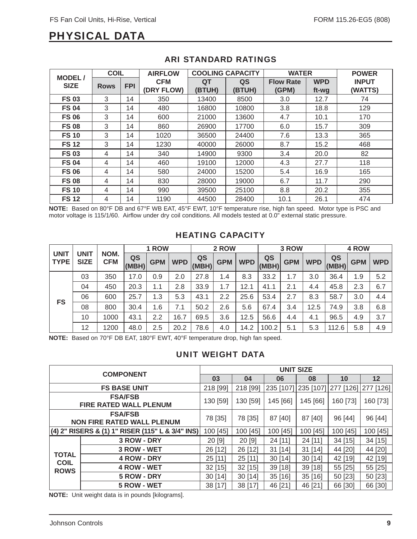### PHYSICAL DATA

|                              | <b>COIL</b> |            | <b>AIRFLOW</b>           | <b>COOLING CAPACITY</b> |              | <b>WATER</b>              |                     | <b>POWER</b>            |
|------------------------------|-------------|------------|--------------------------|-------------------------|--------------|---------------------------|---------------------|-------------------------|
| <b>MODEL/</b><br><b>SIZE</b> | <b>Rows</b> | <b>FPI</b> | <b>CFM</b><br>(DRY FLOW) | QT<br>(BTUH)            | QS<br>(BTUH) | <b>Flow Rate</b><br>(GPM) | <b>WPD</b><br>ft-wg | <b>INPUT</b><br>(WATTS) |
| <b>FS 03</b>                 | 3           | 14         | 350                      | 13400                   | 8500         | 3.0                       | 12.7                | 74                      |
| <b>FS 04</b>                 | 3           | 14         | 480                      | 16800                   | 10800        | 3.8                       | 18.8                | 129                     |
| <b>FS 06</b>                 | 3           | 14         | 600                      | 21000                   | 13600        | 4.7                       | 10.1                | 170                     |
| <b>FS 08</b>                 | 3           | 14         | 860                      | 26900                   | 17700        | 6.0                       | 15.7                | 309                     |
| <b>FS 10</b>                 | 3           | 14         | 1020                     | 36500                   | 24400        | 7.6                       | 13.3                | 365                     |
| <b>FS12</b>                  | 3           | 14         | 1230                     | 40000                   | 26000        | 8.7                       | 15.2                | 468                     |
| <b>FS 03</b>                 | 4           | 14         | 340                      | 14900                   | 9300         | 3.4                       | 20.0                | 82                      |
| <b>FS 04</b>                 | 4           | 14         | 460                      | 19100                   | 12000        | 4.3                       | 27.7                | 118                     |
| <b>FS 06</b>                 | 4           | 14         | 580                      | 24000                   | 15200        | 5.4                       | 16.9                | 165                     |
| <b>FS 08</b>                 | 4           | 14         | 830                      | 28000                   | 19000        | 6.7                       | 11.7                | 290                     |
| <b>FS 10</b>                 | 4           | 14         | 990                      | 39500                   | 25100        | 8.8                       | 20.2                | 355                     |
| <b>FS12</b>                  | 4           | 14         | 1190                     | 44500                   | 28400        | 10.1                      | 26.1                | 474                     |

#### ARI STANDARD RATINGS

**NOTE:** Based on 80°F DB and 67°F WB EAT, 45°F EWT, 10°F temperature rise, high fan speed. Motor type is PSC and motor voltage is 115/1/60. Airflow under dry coil conditions. All models tested at 0.0" external static pressure.

#### HEATING CAPACITY

|                            |                     |                    |             | 1 ROW      |            |             | 2 ROW      |            |             | 3 ROW      |            |             | 4 ROW      |            |
|----------------------------|---------------------|--------------------|-------------|------------|------------|-------------|------------|------------|-------------|------------|------------|-------------|------------|------------|
| <b>UNIT</b><br><b>TYPE</b> | UNIT<br><b>SIZE</b> | NOM.<br><b>CFM</b> | QS<br>(MBH) | <b>GPM</b> | <b>WPD</b> | QS<br>(MBH) | <b>GPM</b> | <b>WPD</b> | QS<br>(MBH) | <b>GPM</b> | <b>WPD</b> | QS<br>(MBH) | <b>GPM</b> | <b>WPD</b> |
|                            | 03                  | 350                | 17.0        | 0.9        | 2.0        | 27.8        | 1.4        | 8.3        | 33.2        | 1.7        | 3.0        | 36.4        | 1.9        | 5.2        |
|                            | 04                  | 450                | 20.3        | 1.1        | 2.8        | 33.9        | 1.7        | 12.1       | 41.1        | 2.1        | 4.4        | 45.8        | 2.3        | 6.7        |
| <b>FS</b>                  | 06                  | 600                | 25.7        | 1.3        | 5.3        | 43.1        | 2.2        | 25.6       | 53.4        | 2.7        | 8.3        | 58.7        | 3.0        | 4.4        |
|                            | 08                  | 800                | 30.4        | 1.6        | 7.1        | 50.2        | 2.6        | 5.6        | 67.4        | 3.4        | 12.5       | 74.9        | 3.8        | 6.8        |
|                            | 10                  | 1000               | 43.1        | 2.2        | 16.7       | 69.5        | 3.6        | 12.5       | 56.6        | 4.4        | 4.1        | 96.5        | 4.9        | 3.7        |
|                            | 12                  | 1200               | 48.0        | 2.5        | 20.2       | 78.6        | 4.0        | 14.2       | 100.2       | 5.1        | 5.3        | 112.6       | 5.8        | 4.9        |

**NOTE:** Based on 70°F DB EAT, 180°F EWT, 40°F temperature drop, high fan speed.

#### UNIT WEIGHT DATA

|                             | <b>COMPONENT</b>                                    | <b>UNIT SIZE</b> |           |           |           |                     |          |  |  |  |
|-----------------------------|-----------------------------------------------------|------------------|-----------|-----------|-----------|---------------------|----------|--|--|--|
|                             |                                                     | 03               | 04        | 06        | 08        | 10                  | 12       |  |  |  |
|                             | <b>FS BASE UNIT</b>                                 | 218 [99]         | 218 [99]  | 235 [107] | 235 [107] | 277 [126] 277 [126] |          |  |  |  |
|                             | <b>FSA/FSB</b><br><b>FIRE RATED WALL PLENUM</b>     | 130 [59]         | 130 [59]  | 145 [66]  | 145 [66]  | 160 [73]            | 160 [73] |  |  |  |
|                             | <b>FSA/FSB</b><br><b>NON FIRE RATED WALL PLENUM</b> | 78 [35]          | 78 [35]   | 87 [40]   | 87 [40]   | 96 [44]             | 96 [44]  |  |  |  |
|                             | (4) 2" RISERS & (1) 1" RISER (115" L & 3/4" INS)    | 100 [45]         | 100 [45]  | 100 [45]  | 100 [45]  | 100 [45]            | 100 [45] |  |  |  |
|                             | 3 ROW - DRY                                         | 20 [9]           | 20 [9]    | 24 [11]   | 24 [11]   | 34[15]              | 34 [15]  |  |  |  |
|                             | 3 ROW - WET                                         | 26 [12]          | 26 [12]   | $31$ [14] | $31$ [14] | 44 [20]             | 44 [20]  |  |  |  |
| <b>TOTAL</b><br><b>COIL</b> | 4 ROW - DRY                                         | 25 [11]          | $25$ [11] | 30[14]    | 30[14]    | 42 [19]             | 42 [19]  |  |  |  |
| <b>ROWS</b>                 | 4 ROW - WET                                         | 32 [15]          | 32 [15]   | 39 [18]   | 39 [18]   | 55 [25]             | 55 [25]  |  |  |  |
|                             | 5 ROW - DRY                                         | 30[14]           | 30[14]    | 35[16]    | 35[16]    | 50 [23]             | 50 [23]  |  |  |  |
|                             | 5 ROW - WET                                         | 38 [17]          | 38 [17]   | 46 [21]   | 46 [21]   | 66 [30]             | 66 [30]  |  |  |  |

**NOTE:** Unit weight data is in pounds [kilograms].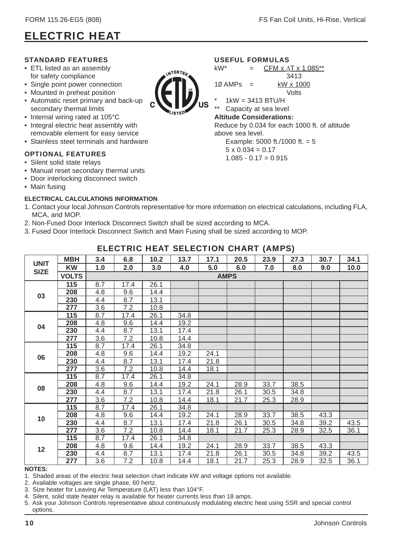### ELECTRIC HEAT

#### STANDARD FEATURES

- ETL listed as an assembly for safety compliance
- Single point power connection
- Mounted in preheat position
- Automatic reset primary and back-up secondary thermal limits
- Internal wiring rated at 105°C
- Integral electric heat assembly with removable element for easy service
- Stainless steel terminals and hardware

#### OPTIONAL FEATURES

- Silent solid state relays
- Manual reset secondary thermal units
- Door interlocking disconnect switch
- Main fusing

#### **ELECTRICAL CALCULATIONS INFORMATION**

- 1. Contact your local Johnson Controls representative for more information on electrical calculations, including FLA, MCA, and MOP.
- 2. Non-Fused Door Interlock Disconnect Switch shall be sized according to MCA.
- 3. Fused Door Interlock Disconnect Switch and Main Fusing shall be sized according to MOP.

| EEEVIND IIEAT SEEEVITSIV SIIANI (AMI S) |              |     |      |      |      |      |             |      |      |      |      |
|-----------------------------------------|--------------|-----|------|------|------|------|-------------|------|------|------|------|
|                                         | <b>MBH</b>   | 3.4 | 6.8  | 10.2 | 13.7 | 17.1 | 20.5        | 23.9 | 27.3 | 30.7 | 34.1 |
| <b>UNIT</b>                             | <b>KW</b>    | 1.0 | 2.0  | 3.0  | 4.0  | 5.0  | 6.0         | 7.0  | 8.0  | 9.0  | 10.0 |
| <b>SIZE</b>                             | <b>VOLTS</b> |     |      |      |      |      | <b>AMPS</b> |      |      |      |      |
|                                         | 115          | 8.7 | 17.4 | 26.1 |      |      |             |      |      |      |      |
| 03                                      | 208          | 4.8 | 9.6  | 14.4 |      |      |             |      |      |      |      |
|                                         | 230          | 4.4 | 8.7  | 13.1 |      |      |             |      |      |      |      |
|                                         | 277          | 3.6 | 7.2  | 10.8 |      |      |             |      |      |      |      |
|                                         | 115          | 8.7 | 17.4 | 26.1 | 34.8 |      |             |      |      |      |      |
| 04                                      | 208          | 4.8 | 9.6  | 14.4 | 19.2 |      |             |      |      |      |      |
|                                         | 230          | 4.4 | 8.7  | 13.1 | 17.4 |      |             |      |      |      |      |
|                                         | 277          | 3.6 | 7.2  | 10.8 | 14.4 |      |             |      |      |      |      |
|                                         | 115          | 8.7 | 17.4 | 26.1 | 34.8 |      |             |      |      |      |      |
| 06                                      | 208          | 4.8 | 9.6  | 14.4 | 19.2 | 24.1 |             |      |      |      |      |
|                                         | 230          | 4.4 | 8.7  | 13.1 | 17.4 | 21.8 |             |      |      |      |      |
|                                         | 277          | 3.6 | 7.2  | 10.8 | 14.4 | 18.1 |             |      |      |      |      |
|                                         | 115          | 8.7 | 17.4 | 26.1 | 34.8 |      |             |      |      |      |      |
| 80                                      | 208          | 4.8 | 9.6  | 14.4 | 19.2 | 24.1 | 28.9        | 33.7 | 38.5 |      |      |
|                                         | 230          | 4.4 | 8.7  | 13.1 | 17.4 | 21.8 | 26.1        | 30.5 | 34.8 |      |      |
|                                         | 277          | 3.6 | 7.2  | 10.8 | 14.4 | 18.1 | 21.7        | 25.3 | 28.9 |      |      |
|                                         | 115          | 8.7 | 17.4 | 26.1 | 34.8 |      |             |      |      |      |      |
| 10                                      | 208          | 4.8 | 9.6  | 14.4 | 19.2 | 24.1 | 28.9        | 33.7 | 38.5 | 43.3 |      |
|                                         | 230          | 4.4 | 8.7  | 13.1 | 17.4 | 21.8 | 26.1        | 30.5 | 34.8 | 39.2 | 43.5 |
|                                         | 277          | 3.6 | 7.2  | 10.8 | 14.4 | 18.1 | 21.7        | 25.3 | 28.9 | 32.5 | 36.1 |
|                                         | 115          | 8.7 | 17.4 | 26.1 | 34.8 |      |             |      |      |      |      |
| 12                                      | 208          | 4.8 | 9.6  | 14.4 | 19.2 | 24.1 | 28.9        | 33.7 | 38.5 | 43.3 |      |
|                                         | 230          | 4.4 | 8.7  | 13.1 | 17.4 | 21.8 | 26.1        | 30.5 | 34.8 | 39.2 | 43.5 |
|                                         | 277          | 3.6 | 7.2  | 10.8 | 14.4 | 18.1 | 21.7        | 25.3 | 28.9 | 32.5 | 36.1 |
| NOTEC.                                  |              |     |      |      |      |      |             |      |      |      |      |

#### ELECTRIC HEAT SELECTION CHART (AMPS)

#### **NOTES:**

1. Shaded areas of the electric heat selection chart indicate kW and voltage options not available.

2. Available voltages are single phase, 60 hertz.

3. Size heater for Leaving Air Temperature (LAT) less than 104°F.

4. Silent, solid state heater relay is available for heater currents less than 18 amps.

5. Ask your Johnson Controls representative about continuously modulating electric heat using SSR and special control options.



#### USEFUL FORMULA

| USEFUL FURIVIULAS |     |                                               |
|-------------------|-----|-----------------------------------------------|
| kW*               | $=$ | CFM $\times$ $\Delta$ T $\times$ 1.085**      |
|                   |     | 3413                                          |
| $10$ AMPs $=$     |     | kW x 1000                                     |
|                   |     | Volts                                         |
| $^\star$          |     | $1 \text{kW} = 3413$ BTU/H                    |
| $***$             |     | Capacity at sea level                         |
|                   |     | <b>Altitude Considerations:</b>               |
|                   |     | Reduce by 0.034 for each 1000 ft. of altitude |
| above sea level.  |     |                                               |
|                   |     | Example: 5000 ft./1000 ft. = 5                |
|                   |     |                                               |

 $5 \times 0.034 = 0.17$  $1.085 - 0.17 = 0.915$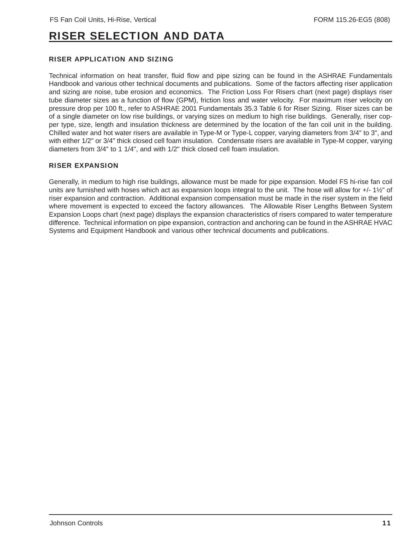### RISER SELECTION AND DATA

#### RISER APPLICATION AND SIZING

Technical information on heat transfer, fluid flow and pipe sizing can be found in the ASHRAE Fundamentals Handbook and various other technical documents and publications. Some of the factors affecting riser application and sizing are noise, tube erosion and economics. The Friction Loss For Risers chart (next page) displays riser tube diameter sizes as a function of flow (GPM), friction loss and water velocity. For maximum riser velocity on pressure drop per 100 ft., refer to ASHRAE 2001 Fundamentals 35.3 Table 6 for Riser Sizing. Riser sizes can be of a single diameter on low rise buildings, or varying sizes on medium to high rise buildings. Generally, riser copper type, size, length and insulation thickness are determined by the location of the fan coil unit in the building. Chilled water and hot water risers are available in Type-M or Type-L copper, varying diameters from 3/4" to 3", and with either 1/2" or 3/4" thick closed cell foam insulation. Condensate risers are available in Type-M copper, varying diameters from 3/4" to 1 1/4", and with 1/2" thick closed cell foam insulation.

#### RISER EXPANSION

Generally, in medium to high rise buildings, allowance must be made for pipe expansion. Model FS hi-rise fan coil units are furnished with hoses which act as expansion loops integral to the unit. The hose will allow for +/- 1½" of riser expansion and contraction. Additional expansion compensation must be made in the riser system in the field where movement is expected to exceed the factory allowances. The Allowable Riser Lengths Between System Expansion Loops chart (next page) displays the expansion characteristics of risers compared to water temperature difference. Technical information on pipe expansion, contraction and anchoring can be found in the ASHRAE HVAC Systems and Equipment Handbook and various other technical documents and publications.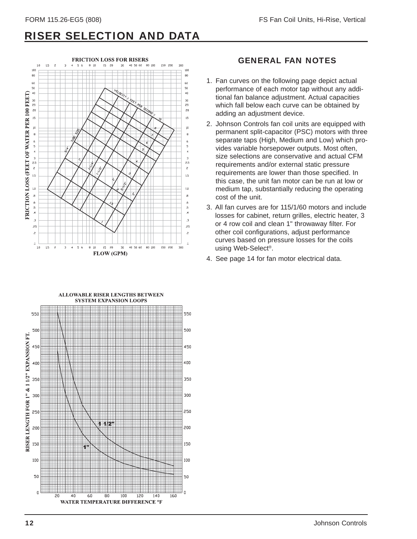### RISER SELECTION AND DATA



#### GENERAL FAN NOTES

- 1. Fan curves on the following page depict actual performance of each motor tap without any additional fan balance adjustment. Actual capacities which fall below each curve can be obtained by adding an adjustment device.
- 2. Johnson Controls fan coil units are equipped with permanent split-capacitor (PSC) motors with three separate taps (High, Medium and Low) which provides variable horsepower outputs. Most often, size selections are conservative and actual CFM requirements and/or external static pressure requirements are lower than those specified. In this case, the unit fan motor can be run at low or medium tap, substantially reducing the operating cost of the unit.
- 3. All fan curves are for 115/1/60 motors and include losses for cabinet, return grilles, electric heater, 3 or 4 row coil and clean 1" throwaway filter. For other coil configurations, adjust performance curves based on pressure losses for the coils using Web-Select®.
- 4. See page 14 for fan motor electrical data.

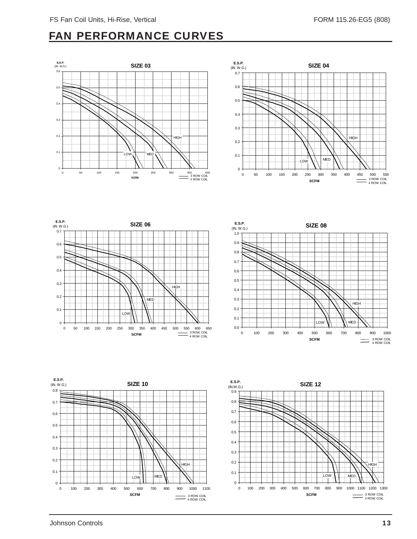### FAN PERFORMANCE CURVES











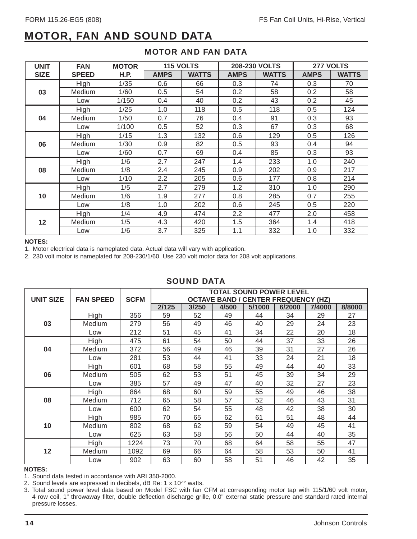### MOTOR, FAN AND SOUND DATA

| <b>UNIT</b> | <b>FAN</b>   | <b>MOTOR</b> | <b>115 VOLTS</b> |              |             | <b>208-230 VOLTS</b> |             | 277 VOLTS    |
|-------------|--------------|--------------|------------------|--------------|-------------|----------------------|-------------|--------------|
| <b>SIZE</b> | <b>SPEED</b> | <b>H.P.</b>  | <b>AMPS</b>      | <b>WATTS</b> | <b>AMPS</b> | <b>WATTS</b>         | <b>AMPS</b> | <b>WATTS</b> |
|             | High         | 1/35         | 0.6              | 66           | 0.3         | 74                   | 0.3         | 70           |
| 03          | Medium       | 1/60         | 0.5              | 54           | 0.2         | 58                   | 0.2         | 58           |
|             | Low          | 1/150        | 0.4              | 40           | 0.2         | 43                   | 0.2         | 45           |
|             | High         | 1/25         | 1.0              | 118          | 0.5         | 118                  | 0.5         | 124          |
| 04          | Medium       | 1/50         | 0.7              | 76           | 0.4         | 91                   | 0.3         | 93           |
|             | Low          | 1/100        | 0.5              | 52           | 0.3         | 67                   | 0.3         | 68           |
|             | High         | 1/15         | 1.3              | 132          | 0.6         | 129                  | 0.5         | 126          |
| 06          | Medium       | 1/30         | 0.9              | 82           | 0.5         | 93                   | 0.4         | 94           |
|             | Low          | 1/60         | 0.7              | 69           | 0.4         | 85                   | 0.3         | 93           |
|             | High         | 1/6          | 2.7              | 247          | 1.4         | 233                  | 1.0         | 240          |
| 08          | Medium       | 1/8          | 2.4              | 245          | 0.9         | 202                  | 0.9         | 217          |
|             | Low          | 1/10         | 2.2              | 205          | 0.6         | 177                  | 0.8         | 214          |
|             | High         | 1/5          | 2.7              | 279          | 1.2         | 310                  | 1.0         | 290          |
| 10          | Medium       | 1/6          | 1.9              | 277          | 0.8         | 285                  | 0.7         | 255          |
|             | Low          | 1/8          | 1.0              | 202          | 0.6         | 245                  | 0.5         | 220          |
|             | High         | 1/4          | 4.9              | 474          | 2.2         | 477                  | 2.0         | 458          |
| 12          | Medium       | 1/5          | 4.3              | 420          | 1.5         | 364                  | 1.4         | 418          |
|             | Low          | 1/6          | 3.7              | 325          | 1.1         | 332                  | 1.0         | 332          |

#### MOTOR AND FAN DATA

#### **NOTES:**

1. Motor electrical data is nameplated data. Actual data will vary with application.

2. 230 volt motor is nameplated for 208-230/1/60. Use 230 volt motor data for 208 volt applications.

#### SOUND DATA

|                  |                  |             | <b>TOTAL SOUND POWER LEVEL</b> |       |       |                                            |        |        |        |  |  |  |
|------------------|------------------|-------------|--------------------------------|-------|-------|--------------------------------------------|--------|--------|--------|--|--|--|
| <b>UNIT SIZE</b> | <b>FAN SPEED</b> | <b>SCFM</b> |                                |       |       | <b>OCTAVE BAND / CENTER FREQUENCY (HZ)</b> |        |        |        |  |  |  |
|                  |                  |             | 2/125                          | 3/250 | 4/500 | 5/1000                                     | 6/2000 | 7/4000 | 8/8000 |  |  |  |
|                  | High             | 356         | 59                             | 52    | 49    | 44                                         | 34     | 29     | 27     |  |  |  |
| 03               | Medium           | 279         | 56                             | 49    | 46    | 40                                         | 29     | 24     | 23     |  |  |  |
|                  | Low              | 212         | 51                             | 45    | 41    | 34                                         | 22     | 20     | 18     |  |  |  |
|                  | High             | 475         | 61                             | 54    | 50    | 44                                         | 37     | 33     | 26     |  |  |  |
| 04               | Medium           | 372         | 56                             | 49    | 46    | 39                                         | 31     | 27     | 26     |  |  |  |
|                  | Low              | 281         | 53                             | 44    | 41    | 33                                         | 24     | 21     | 18     |  |  |  |
|                  | High             | 601         | 68                             | 58    | 55    | 49                                         | 44     | 40     | 33     |  |  |  |
| 06               | Medium           | 505         | 62                             | 53    | 51    | 45                                         | 39     | 34     | 29     |  |  |  |
|                  | Low              | 385         | 57                             | 49    | 47    | 40                                         | 32     | 27     | 23     |  |  |  |
|                  | High             | 864         | 68                             | 60    | 59    | 55                                         | 49     | 46     | 38     |  |  |  |
| 08               | Medium           | 712         | 65                             | 58    | 57    | 52                                         | 46     | 43     | 31     |  |  |  |
|                  | Low              | 600         | 62                             | 54    | 55    | 48                                         | 42     | 38     | 30     |  |  |  |
|                  | High             | 985         | 70                             | 65    | 62    | 61                                         | 51     | 48     | 44     |  |  |  |
| 10               | Medium           | 802         | 68                             | 62    | 59    | 54                                         | 49     | 45     | 41     |  |  |  |
|                  | Low              | 625         | 63                             | 58    | 56    | 50                                         | 44     | 40     | 35     |  |  |  |
|                  | High             | 1224        | 73                             | 70    | 68    | 64                                         | 58     | 55     | 47     |  |  |  |
| 12               | Medium           | 1092        | 69                             | 66    | 64    | 58                                         | 53     | 50     | 41     |  |  |  |
|                  | Low              | 902         | 63                             | 60    | 58    | 51                                         | 46     | 42     | 35     |  |  |  |

#### **NOTES:**

1. Sound data tested in accordance with ARI 350-2000.

2. Sound levels are expressed in decibels, dB Re: 1 x 10-12 watts.

3. Total sound power level data based on Model FSC with fan CFM at corresponding motor tap with 115/1/60 volt motor, 4 row coil, 1" throwaway filter, double deflection discharge grille, 0.0" external static pressure and standard rated internal pressure losses.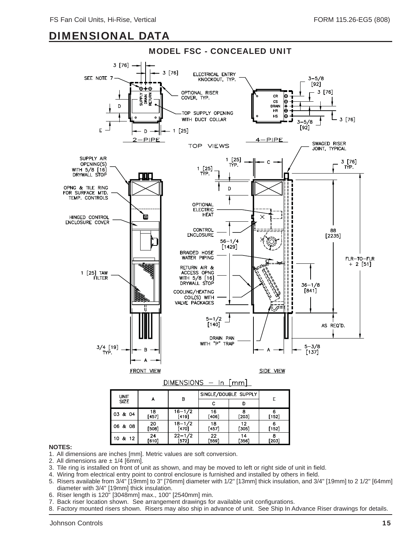

#### **NOTES:**

1. All dimensions are inches [mm]. Metric values are soft conversion.

2. All dimensions are  $\pm$  1/4 [6mm].

- 3. Tile ring is installed on front of unit as shown, and may be moved to left or right side of unit in field.
- 4. Wiring from electrical entry point to control enclosure is furnished and installed by others in field.

[572]

5. Risers available from 3/4" [19mm] to 3" [76mm] diameter with 1/2" [13mm] thick insulation, and 3/4" [19mm] to 2 1/2" [64mm] diameter with 3/4" [19mm] thick insulation.

r3561

[203]

6. Riser length is 120" [3048mm] max., 100" [2540mm] min.

10 & 12

- 7. Back riser location shown. See arrangement drawings for available unit configurations.
- 8. Factory mounted risers shown. Risers may also ship in advance of unit. See Ship In Advance Riser drawings for details.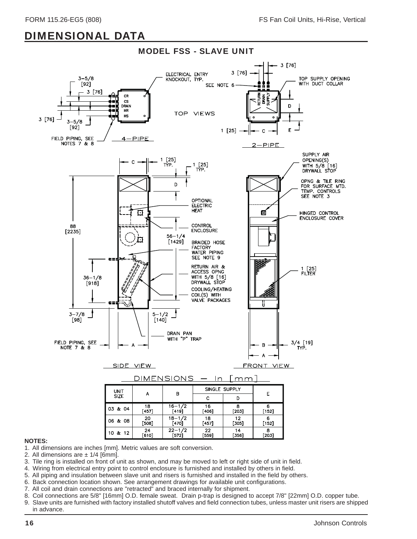

- 1. All dimensions are inches [mm]. Metric values are soft conversion.
- 2. All dimensions are  $\pm$  1/4 [6mm].
- 3. Tile ring is installed on front of unit as shown, and may be moved to left or right side of unit in field.
- 4. Wiring from electrical entry point to control enclosure is furnished and installed by others in field.
- 5. All piping and insulation between slave unit and risers is furnished and installed in the field by others.
- 6. Back connection location shown. See arrangement drawings for available unit configurations.
- 7. All coil and drain connections are "retracted" and braced internally for shipment.
- 8. Coil connections are 5/8" [16mm] O.D. female sweat. Drain p-trap is designed to accept 7/8" [22mm] O.D. copper tube.
- 9. Slave units are furnished with factory installed shutoff valves and field connection tubes, unless master unit risers are shipped in advance.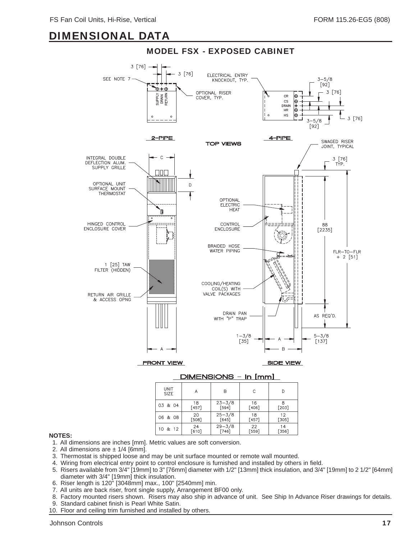

#### DIMENSIONS - In [mm]

| UNIT<br><b>SIZE</b> | А       | B          | С       |         |
|---------------------|---------|------------|---------|---------|
| 03 & 04             | 18      | $23 - 3/8$ | 16      | 8       |
|                     | $[457]$ | $[594]$    | [406]   | $[203]$ |
| 06 & 08             | 20      | $25 - 3/8$ | 18      | 12      |
|                     | [508]   | $[645]$    | $[457]$ | $[305]$ |
| 10 & 12             | 24      | $29 - 3/8$ | 22      | 14      |
|                     | [610]   | $[746]$    | [559]   | $[356]$ |

- 1. All dimensions are inches [mm]. Metric values are soft conversion.
- 2. All dimensions are  $\pm$  1/4 [6mm].
- 3. Thermostat is shipped loose and may be unit surface mounted or remote wall mounted.
- 4. Wiring from electrical entry point to control enclosure is furnished and installed by others in field.
- 5. Risers available from 3/4" [19mm] to 3" [76mm] diameter with 1/2" [13mm] thick insulation, and 3/4" [19mm] to 2 1/2" [64mm] diameter with 3/4" [19mm] thick insulation.
- 6. Riser length is 120" [3048mm] max., 100" [2540mm] min.
- 7. All units are back riser, front single supply, Arrangement BF00 only.
- 8. Factory mounted risers shown. Risers may also ship in advance of unit. See Ship In Advance Riser drawings for details.
- 9. Standard cabinet finish is Pearl White Satin.
- 10. Floor and ceiling trim furnished and installed by others.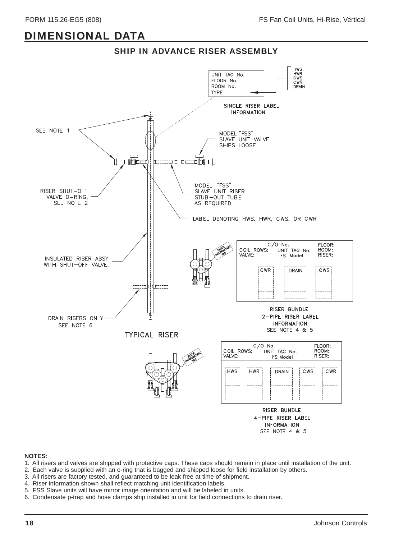



- 1. All risers and valves are shipped with protective caps. These caps should remain in place until installation of the unit.
- 2. Each valve is supplied with an o-ring that is bagged and shipped loose for field installation by others.
- 3. All risers are factory tested, and guaranteed to be leak free at time of shipment.
- 4. Riser information shown shall reflect matching unit identification labels.
- 5. FSS Slave units will have mirror image orientation and will be labeled in units.
- 6. Condensate p-trap and hose clamps ship installed in unit for field connections to drain riser.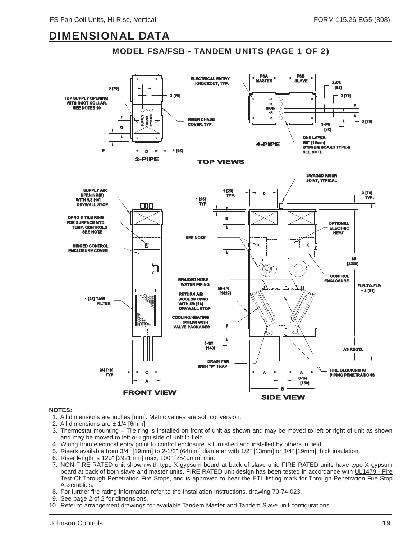#### MODEL FSA/FSB - TANDEM UNITS (PAGE 1 OF 2)



- 1. All dimensions are inches [mm]. Metric values are soft conversion.
- 2. All dimensions are  $\pm$  1/4 [6mm].
- 3. Thermostat mounting  $-$  Tile ring is installed on front of unit as shown and may be moved to left or right of unit as shown and may be moved to left or right side of unit in field.
- 4. Wiring from electrical entry point to control enclosure is furnished and installed by others in field.
- 5. Risers available from 3/4" [19mm] to 2-1/2" (64mm] diameter with 1/2" [13mm] or 3/4" [19mm] thick insulation.
- 6. Riser length is 120" [2921mm] max, 100" [2540mm] min.
- 7. NON-FIRE RATED unit shown with type-X gypsum board at back of slave unit. FIRE RATED units have type-X gypsum board at back of both slave and master units. FIRE RATED unit design has been tested in accordance with UL1479 - Fire Test Of Through Penetration Fire Stops, and is approved to bear the ETL listing mark for Through Penetration Fire Stop Assemblies.
- 8. For further fire rating information refer to the Installation Instructions, drawing 70-74-023.
- 9. See page 2 of 2 for dimensions.
- 10. Refer to arrangement drawings for available Tandem Master and Tandem Slave unit configurations.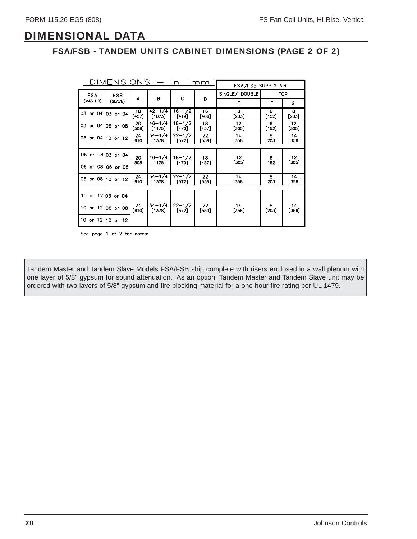#### FSA/FSB - TANDEM UNITS CABINET DIMENSIONS (PAGE 2 OF 2)

| DIMENSIONS<br>mm<br>In   |                   |               |                        |                       | FSA/FSB SUPPLY AIR |                 |              |              |  |
|--------------------------|-------------------|---------------|------------------------|-----------------------|--------------------|-----------------|--------------|--------------|--|
| <b>FSA</b><br><b>FSB</b> |                   |               | в                      |                       |                    | SINGLE/ DOUBLE  |              | TOP          |  |
| (MASTER)                 | (SLAVE)           | A             |                        | C                     | D                  | Ε               | F            | G            |  |
|                          | 03 or 04 03 or 04 | 18<br>[457]   | $42 - 1/4$<br>[1073]   | $16 - 1/2$<br>[419]   | 16<br>[406]        | 8<br>[203]      | 6<br>$[152]$ | 8<br>$[203]$ |  |
|                          | 03 or 04 06 or 08 | 20<br>[508]   | $46 - 1/4$<br>[1175]   | $18 - 1/2$<br>[470]   | 18<br>[457]        | 12<br>[305]     | 6<br>$[152]$ | 12<br>[305]  |  |
|                          | 03 or 04 10 or 12 | 24<br>$[610]$ | $54 - 1/4$<br>[1378]   | $22 - 1/2$<br>$[572]$ | 22<br>[559]        | 14<br>$[356]$   | 8<br>[203]   | 14<br>[356]  |  |
|                          |                   |               |                        |                       |                    |                 |              |              |  |
|                          | 06 or 08 03 or 04 | 20            | $46 - 1/4$             | $18 - 1/2$            | 18                 | 12 <sup>2</sup> | 6            | 12           |  |
|                          | 06 or 08 06 or 08 | [508]         | [1175]                 | [470]                 | [457]              | [305]           | $[152]$      | [305]        |  |
|                          | 06 or 08 10 or 12 | 24<br>[610]   | $54 - 1/4$<br>[1378]   | $22 - 1/2$<br>$[572]$ | 22<br>[559]        | 14<br>[356]     | 8<br>[203]   | 14<br>[356]  |  |
|                          |                   |               |                        |                       |                    |                 |              |              |  |
|                          | 10 or 12 03 or 04 |               |                        |                       |                    |                 |              |              |  |
|                          | 10 or 12 06 or 08 | 24<br>$[610]$ | $54 - 1/4$<br>$[1378]$ | $22 - 1/2$<br>$[572]$ | 22<br>[559]        | 14<br>[356]     | 8<br>$[203]$ | 14<br>[356]  |  |
|                          | 10 or 12 10 or 12 |               |                        |                       |                    |                 |              |              |  |

See page 1 of 2 for notes:

Tandem Master and Tandem Slave Models FSA/FSB ship complete with risers enclosed in a wall plenum with one layer of 5/8" gypsum for sound attenuation. As an option, Tandem Master and Tandem Slave unit may be ordered with two layers of 5/8" gypsum and fire blocking material for a one hour fire rating per UL 1479.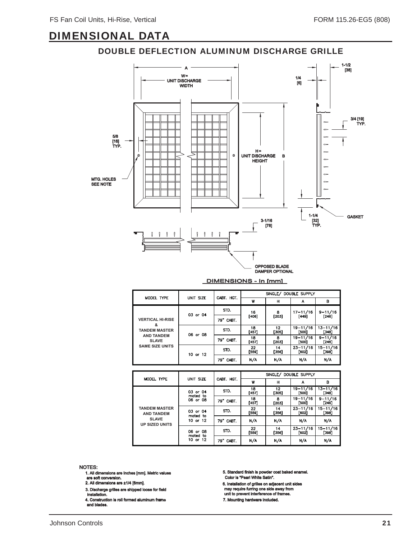#### DOUBLE DEFLECTION ALUMINUM DISCHARGE GRILLE



| MODEL TYPE                                                                                                          | UNIT SIZE | CABT. HGT. | SINGLE/ DOUBLE SUPPLY |              |                       |                        |  |
|---------------------------------------------------------------------------------------------------------------------|-----------|------------|-----------------------|--------------|-----------------------|------------------------|--|
|                                                                                                                     |           |            | W                     | н            | А                     | в                      |  |
| <b>VERTICAL HI-RISE</b><br>&<br><b>TANDEM MASTER</b><br><b>AND TANDEM</b><br><b>SLAVE</b><br><b>SAME SIZE UNITS</b> | 03 or 04  | STD.       | 16                    | 8<br>$[203]$ | $17 - 11/16$<br>[449] | $9 - 11/16$<br>[246]   |  |
|                                                                                                                     |           | 79" CABT.  | $[406]$               |              |                       |                        |  |
|                                                                                                                     | 06 or 08  | STD.       | 18<br>[457]           | 12<br>[305]  | $19 - 11/16$<br>[500] | $13 - 11/16$<br>[348]  |  |
|                                                                                                                     |           | 79" CABT.  | 18<br>[457]           | 8<br>[203]   | $19 - 11/16$<br>[500] | $9 - 11/16$<br>$[246]$ |  |
|                                                                                                                     | 10 or 12  | STD.       | 22<br>[559]           | 14<br>[356]  | $23 - 11/16$<br>[602] | $15 - 11/16$<br>[398]  |  |
|                                                                                                                     |           | 79" CABT.  | N/A                   | N/A          | N/A                   | N/A                    |  |
|                                                                                                                     |           |            |                       |              |                       |                        |  |

|                                           |                                  | CABT. HGT. | SINGLE/ DOUBLE SUPPLY |             |                         |                       |  |
|-------------------------------------------|----------------------------------|------------|-----------------------|-------------|-------------------------|-----------------------|--|
| MODEL TYPE                                | UNIT SIZE                        |            | w                     | н           | А                       | в                     |  |
|                                           | 03 or 04<br>mated to<br>06 or 08 | STD.       | 18<br>[457]           | 12<br>[305] | $19 - 11/16$<br>[500]   | $13 - 11/16$<br>[348] |  |
|                                           |                                  | 79" CABT.  | 18<br>[457]           | 8<br>[203]  | 19-11/16<br>[500]       | $9 - 11/16$<br>[246]  |  |
| <b>TANDEM MASTER</b><br><b>AND TANDEM</b> | 03 or 04<br>mated to<br>10 or 12 | STD.       | 22<br>[559]           | 14<br>[356] | $23 - 11/16$<br>[602]   | $15 - 11/16$<br>[398] |  |
| <b>SLAVE</b><br><b>UP SIZED UNITS</b>     |                                  | 79" CABT.  | N/A                   | N/A         | N/A                     | N/A                   |  |
|                                           | 06 or 08<br>mated to<br>10 or 12 | STD.       | 22<br>[559]           | 14<br>[356] | $23 - 11/16$<br>$[602]$ | $15 - 11/16$<br>[398] |  |
|                                           |                                  | 79" CABT.  | N/A                   | N/A         | N/A                     | N/A                   |  |

- 1. All dimensions are Inches [mm]. Metric values
- are soft conversion.
- 2. All dimensions are  $\pm 1/4$  [6mm].
- installation. installation. 3. Discharge grilles are shipped loose for field
- 
- 4. Construction is roll formed aluminum frame<br>and blades.
- Color is "Pearl White Satin". 5. Standard finish is powder coat baked enamel.
- 6. Installation of grilles on adjacent unit sides<br>may require furring one side away from<br>unit to prevent interference of frames.
- 
- 7. Mounting hardware included.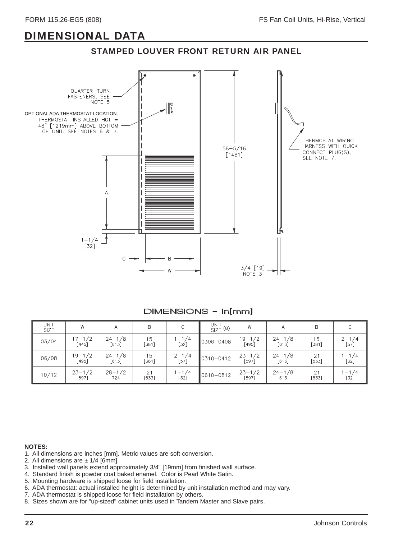



#### DIMENSIONS - In[mm]

| <b>UNIT</b><br><b>SIZE</b> | W                     | Α                     | B                | C                   | UNIT <sub>(8)</sub> | W                   | A                     | B             |                     |
|----------------------------|-----------------------|-----------------------|------------------|---------------------|---------------------|---------------------|-----------------------|---------------|---------------------|
| 03/04                      | $17 - 1/2$<br>[445]   | $24 - 1/8$<br>$[613]$ | 15<br>381        | $1 - 1/4$<br>[32]   | 0306-0408           | 19-1/2<br>[495]     | $24 - 1/8$<br>[613]   | 15<br>$[381]$ | $2 - 1/4$<br>[57]   |
| 06/08                      | $19 - 1/2$<br>[495]   | $24 - 1/8$<br>$[613]$ | $\frac{15}{281}$ | $2 - 1/4$<br>[57]   | 0310-0412           | $23 - 1/2$<br>[597] | $24 - 1/8$<br>[613]   | 21<br>$[533]$ | $1 - 1/4$<br>$[32]$ |
| 10/12                      | $23 - 1/2$<br>$[597]$ | $28 - 1/2$<br>$[724]$ | 21<br>$[533]$    | $1 - 1/4$<br>$[32]$ | 0610-0812           | $23 - 1/2$<br>[597] | $24 - 1/8$<br>$[613]$ | 21<br>$[533]$ | $1 - 1/4$<br>$[32]$ |

- 1. All dimensions are inches [mm]. Metric values are soft conversion.
- 2. All dimensions are  $\pm$  1/4 [6mm].
- 3. Installed wall panels extend approximately 3/4" [19mm] from finished wall surface.
- 4. Standard finish is powder coat baked enamel. Color is Pearl White Satin.
- 5. Mounting hardware is shipped loose for field installation.
- 6. ADA thermostat: actual installed height is determined by unit installation method and may vary.
- 7. ADA thermostat is shipped loose for field installation by others.
- 8. Sizes shown are for "up-sized" cabinet units used in Tandem Master and Slave pairs.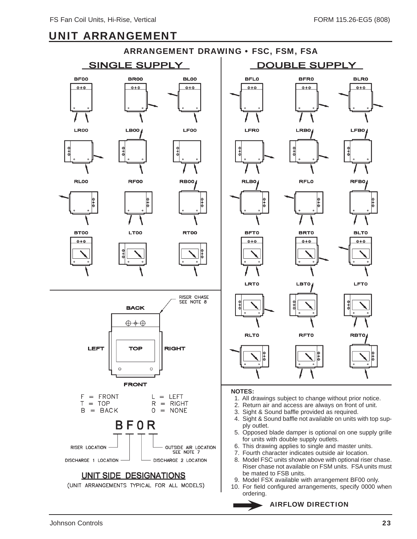### UNIT ARRANGEMENT

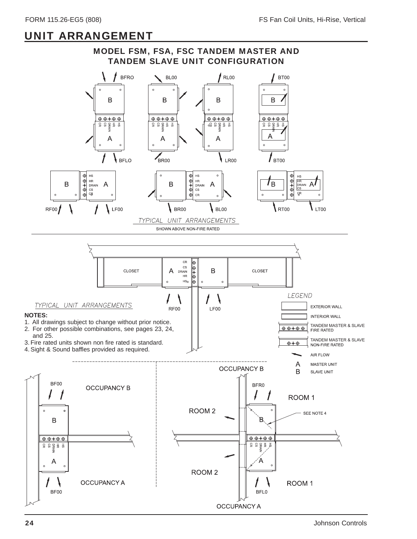### UNIT ARRANGEMENT

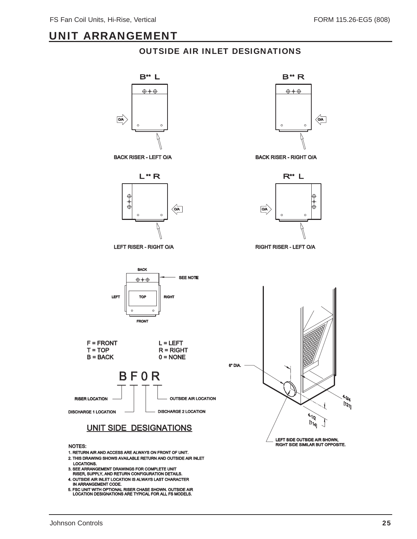### UNIT ARRANGEMENT

#### OUTSIDE AIR INLET DESIGNATIONS



NOTES:

- 1. RETURN AIR AND ACCESS ARE ALWAYS ON FRONT OF UNIT.
- LOCATIONS. LOCATIONS. 2. THIS DRAWING SHOWS AVAILABLE RETURN AND OUTSIDE AIR INLET
- 3. SEE ARRANGEMENT DRAWINGS FOR COMPLETE UNIT<br>RISER, SUPPLY, AND RETURN CONFIGURATION DETAILS.
- 
- 4. OUTSIDE AIR INLET LOCATION IS ALWAYS LAST CHARACTER<br>1 IN ARRANGEMENT CODE.<br>5. FSC UNIT WITH OPTIONAL RISER CHASE SHOWN. OUTSIDE AIR<br>1 LOCATION DESIGNATIONS ARE TYPICAL FOR ALL FS MODELS.

 $B^*R$  $\oplus \oplus \oplus$  $\sqrt{\frac{Q/A}{Q}}$  $\circ$ 

BACK RISER - RIGHT O/A



RIGHT RISER - LEFT O/A

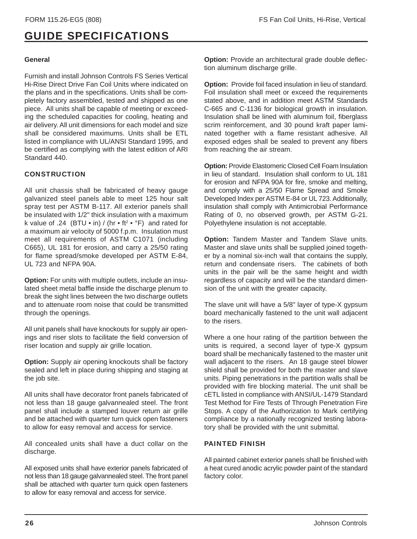#### **General**

Furnish and install Johnson Controls FS Series Vertical Hi-Rise Direct Drive Fan Coil Units where indicated on the plans and in the specifications. Units shall be completely factory assembled, tested and shipped as one piece. All units shall be capable of meeting or exceeding the scheduled capacities for cooling, heating and air delivery. All unit dimensions for each model and size shall be considered maximums. Units shall be ETL listed in compliance with UL/ANSI Standard 1995, and be certified as complying with the latest edition of ARI Standard 440.

#### **CONSTRUCTION**

All unit chassis shall be fabricated of heavy gauge galvanized steel panels able to meet 125 hour salt spray test per ASTM B-117. All exterior panels shall be insulated with 1/2" thick insulation with a maximum k value of .24 (BTU • in) / (hr • ft<sup>2</sup> • °F) and rated for a maximum air velocity of 5000 f.p.m. Insulation must meet all requirements of ASTM C1071 (including C665), UL 181 for erosion, and carry a 25/50 rating for flame spread/smoke developed per ASTM E-84, UL 723 and NFPA 90A.

**Option:** For units with multiple outlets, include an insulated sheet metal baffle inside the discharge plenum to break the sight lines between the two discharge outlets and to attenuate room noise that could be transmitted through the openings.

All unit panels shall have knockouts for supply air openings and riser slots to facilitate the field conversion of riser location and supply air grille location.

**Option:** Supply air opening knockouts shall be factory sealed and left in place during shipping and staging at the job site.

All units shall have decorator front panels fabricated of not less than 18 gauge galvannealed steel. The front panel shall include a stamped louver return air grille and be attached with quarter turn quick open fasteners to allow for easy removal and access for service.

All concealed units shall have a duct collar on the discharge.

All exposed units shall have exterior panels fabricated of not less than 18 gauge galvannealed steel. The front panel shall be attached with quarter turn quick open fasteners to allow for easy removal and access for service.

**Option:** Provide an architectural grade double deflection aluminum discharge grille.

**Option:** Provide foil faced insulation in lieu of standard. Foil insulation shall meet or exceed the requirements stated above, and in addition meet ASTM Standards C-665 and C-1136 for biological growth in insulation. Insulation shall be lined with aluminum foil, fiberglass scrim reinforcement, and 30 pound kraft paper laminated together with a flame resistant adhesive. All exposed edges shall be sealed to prevent any fibers from reaching the air stream.

**Option:** Provide Elastomeric Closed Cell Foam Insulation in lieu of standard. Insulation shall conform to UL 181 for erosion and NFPA 90A for fire, smoke and melting, and comply with a 25/50 Flame Spread and Smoke Developed Index per ASTM E-84 or UL 723. Additionally, insulation shall comply with Antimicrobial Performance Rating of 0, no observed growth, per ASTM G-21. Polyethylene insulation is not acceptable.

**Option:** Tandem Master and Tandem Slave units. Master and slave units shall be supplied joined together by a nominal six-inch wall that contains the supply, return and condensate risers. The cabinets of both units in the pair will be the same height and width regardless of capacity and will be the standard dimension of the unit with the greater capacity.

The slave unit will have a 5/8" layer of type-X gypsum board mechanically fastened to the unit wall adjacent to the risers.

Where a one hour rating of the partition between the units is required, a second layer of type-X gypsum board shall be mechanically fastened to the master unit wall adjacent to the risers. An 18 gauge steel blower shield shall be provided for both the master and slave units. Piping penetrations in the partition walls shall be provided with fire blocking material. The unit shall be cETL listed in compliance with ANSI/UL-1479 Standard Test Method for Fire Tests of Through Penetration Fire Stops. A copy of the Authorization to Mark certifying compliance by a nationally recognized testing laboratory shall be provided with the unit submittal.

#### PAINTED FINISH

All painted cabinet exterior panels shall be finished with a heat cured anodic acrylic powder paint of the standard factory color.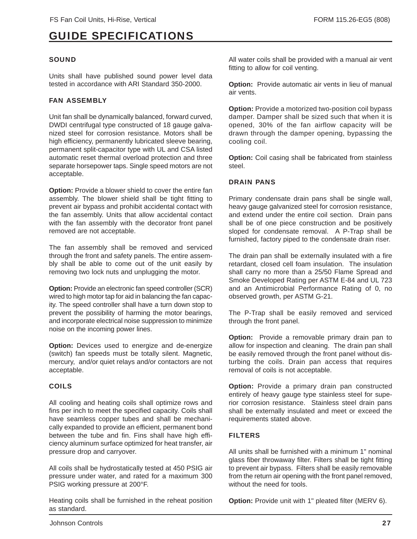#### **SOUND**

Units shall have published sound power level data tested in accordance with ARI Standard 350-2000.

#### FAN ASSEMBLY

Unit fan shall be dynamically balanced, forward curved, DWDI centrifugal type constructed of 18 gauge galvanized steel for corrosion resistance. Motors shall be high efficiency, permanently lubricated sleeve bearing, permanent split-capacitor type with UL and CSA listed automatic reset thermal overload protection and three separate horsepower taps. Single speed motors are not acceptable.

**Option:** Provide a blower shield to cover the entire fan assembly. The blower shield shall be tight fitting to prevent air bypass and prohibit accidental contact with the fan assembly. Units that allow accidental contact with the fan assembly with the decorator front panel removed are not acceptable.

The fan assembly shall be removed and serviced through the front and safety panels. The entire assembly shall be able to come out of the unit easily by removing two lock nuts and unplugging the motor.

**Option:** Provide an electronic fan speed controller (SCR) wired to high motor tap for aid in balancing the fan capacity. The speed controller shall have a turn down stop to prevent the possibility of harming the motor bearings, and incorporate electrical noise suppression to minimize noise on the incoming power lines.

**Option:** Devices used to energize and de-energize (switch) fan speeds must be totally silent. Magnetic, mercury, and/or quiet relays and/or contactors are not acceptable.

#### COILS

All cooling and heating coils shall optimize rows and fins per inch to meet the specified capacity. Coils shall have seamless copper tubes and shall be mechanically expanded to provide an efficient, permanent bond between the tube and fin. Fins shall have high efficiency aluminum surface optimized for heat transfer, air pressure drop and carryover.

All coils shall be hydrostatically tested at 450 PSIG air pressure under water, and rated for a maximum 300 PSIG working pressure at 200°F.

Heating coils shall be furnished in the reheat position as standard.

All water coils shall be provided with a manual air vent fitting to allow for coil venting.

**Option:** Provide automatic air vents in lieu of manual air vents.

**Option:** Provide a motorized two-position coil bypass damper. Damper shall be sized such that when it is opened, 30% of the fan airflow capacity will be drawn through the damper opening, bypassing the cooling coil.

**Option:** Coil casing shall be fabricated from stainless steel.

#### DRAIN PANS

Primary condensate drain pans shall be single wall, heavy gauge galvanized steel for corrosion resistance, and extend under the entire coil section. Drain pans shall be of one piece construction and be positively sloped for condensate removal. A P-Trap shall be furnished, factory piped to the condensate drain riser.

The drain pan shall be externally insulated with a fire retardant, closed cell foam insulation. The insulation shall carry no more than a 25/50 Flame Spread and Smoke Developed Rating per ASTM E-84 and UL 723 and an Antimicrobial Performance Rating of 0, no observed growth, per ASTM G-21.

The P-Trap shall be easily removed and serviced through the front panel.

**Option:** Provide a removable primary drain pan to allow for inspection and cleaning. The drain pan shall be easily removed through the front panel without disturbing the coils. Drain pan access that requires removal of coils is not acceptable.

**Option:** Provide a primary drain pan constructed entirely of heavy gauge type stainless steel for superior corrosion resistance. Stainless steel drain pans shall be externally insulated and meet or exceed the requirements stated above.

#### FILTERS

All units shall be furnished with a minimum 1" nominal glass fiber throwaway filter. Filters shall be tight fitting to prevent air bypass. Filters shall be easily removable from the return air opening with the front panel removed, without the need for tools.

**Option:** Provide unit with 1" pleated filter (MERV 6).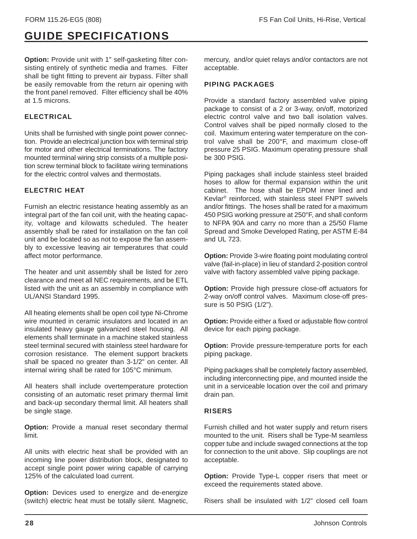**Option:** Provide unit with 1" self-gasketing filter consisting entirely of synthetic media and frames. Filter shall be tight fitting to prevent air bypass. Filter shall be easily removable from the return air opening with the front panel removed. Filter efficiency shall be 40% at 1.5 microns.

#### ELECTRICAL

Units shall be furnished with single point power connection. Provide an electrical junction box with terminal strip for motor and other electrical terminations. The factory mounted terminal wiring strip consists of a multiple position screw terminal block to facilitate wiring terminations for the electric control valves and thermostats.

#### ELECTRIC HEAT

Furnish an electric resistance heating assembly as an integral part of the fan coil unit, with the heating capacity, voltage and kilowatts scheduled. The heater assembly shall be rated for installation on the fan coil unit and be located so as not to expose the fan assembly to excessive leaving air temperatures that could affect motor performance.

The heater and unit assembly shall be listed for zero clearance and meet all NEC requirements, and be ETL listed with the unit as an assembly in compliance with UL/ANSI Standard 1995.

All heating elements shall be open coil type Ni-Chrome wire mounted in ceramic insulators and located in an insulated heavy gauge galvanized steel housing. All elements shall terminate in a machine staked stainless steel terminal secured with stainless steel hardware for corrosion resistance. The element support brackets shall be spaced no greater than 3-1/2" on center. All internal wiring shall be rated for 105°C minimum.

All heaters shall include overtemperature protection consisting of an automatic reset primary thermal limit and back-up secondary thermal limit. All heaters shall be single stage.

**Option:** Provide a manual reset secondary thermal limit.

All units with electric heat shall be provided with an incoming line power distribution block, designated to accept single point power wiring capable of carrying 125% of the calculated load current.

**Option:** Devices used to energize and de-energize (switch) electric heat must be totally silent. Magnetic, mercury, and/or quiet relays and/or contactors are not acceptable.

#### PIPING PACKAGES

Provide a standard factory assembled valve piping package to consist of a 2 or 3-way, on/off, motorized electric control valve and two ball isolation valves. Control valves shall be piped normally closed to the coil. Maximum entering water temperature on the control valve shall be 200°F, and maximum close-off pressure 25 PSIG. Maximum operating pressure shall be 300 PSIG.

Piping packages shall include stainless steel braided hoses to allow for thermal expansion within the unit cabinet. The hose shall be EPDM inner lined and Kevlar® reinforced, with stainless steel FNPT swivels and/or fittings. The hoses shall be rated for a maximum 450 PSIG working pressure at 250°F, and shall conform to NFPA 90A and carry no more than a 25/50 Flame Spread and Smoke Developed Rating, per ASTM E-84 and UL 723.

**Option:** Provide 3-wire floating point modulating control valve (fail-in-place) in lieu of standard 2-position control valve with factory assembled valve piping package.

**Option:** Provide high pressure close-off actuators for 2-way on/off control valves. Maximum close-off pressure is 50 PSIG (1/2").

**Option:** Provide either a fixed or adjustable flow control device for each piping package.

**Option:** Provide pressure-temperature ports for each piping package.

Piping packages shall be completely factory assembled, including interconnecting pipe, and mounted inside the unit in a serviceable location over the coil and primary drain pan.

#### RISERS

Furnish chilled and hot water supply and return risers mounted to the unit. Risers shall be Type-M seamless copper tube and include swaged connections at the top for connection to the unit above. Slip couplings are not acceptable.

**Option:** Provide Type-L copper risers that meet or exceed the requirements stated above.

Risers shall be insulated with 1/2" closed cell foam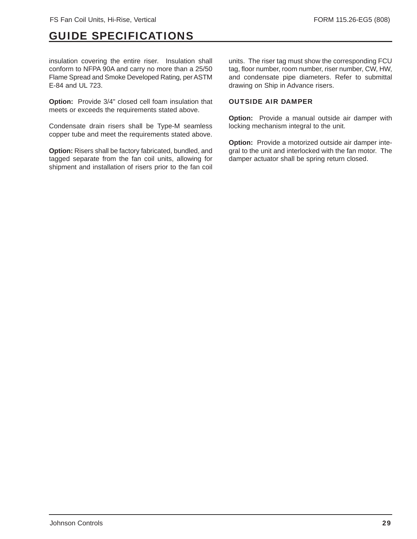insulation covering the entire riser. Insulation shall conform to NFPA 90A and carry no more than a 25/50 Flame Spread and Smoke Developed Rating, per ASTM E-84 and UL 723.

**Option:** Provide 3/4" closed cell foam insulation that meets or exceeds the requirements stated above.

Condensate drain risers shall be Type-M seamless copper tube and meet the requirements stated above.

**Option:** Risers shall be factory fabricated, bundled, and tagged separate from the fan coil units, allowing for shipment and installation of risers prior to the fan coil units. The riser tag must show the corresponding FCU tag, floor number, room number, riser number, CW, HW, and condensate pipe diameters. Refer to submittal drawing on Ship in Advance risers.

#### OUTSIDE AIR DAMPER

**Option:** Provide a manual outside air damper with locking mechanism integral to the unit.

**Option:** Provide a motorized outside air damper integral to the unit and interlocked with the fan motor. The damper actuator shall be spring return closed.